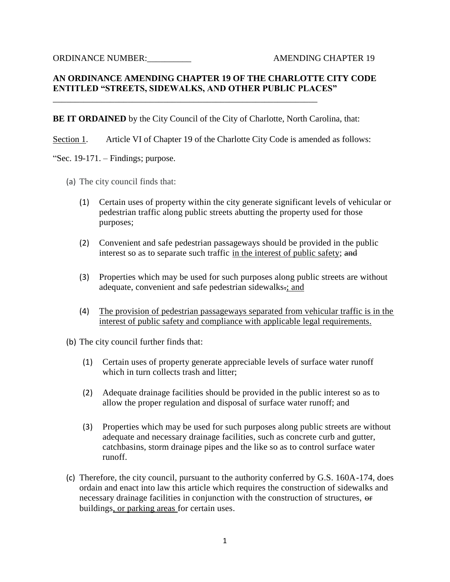ORDINANCE NUMBER: AMENDING CHAPTER 19

## **AN ORDINANCE AMENDING CHAPTER 19 OF THE CHARLOTTE CITY CODE ENTITLED "STREETS, SIDEWALKS, AND OTHER PUBLIC PLACES"**

**BE IT ORDAINED** by the City Council of the City of Charlotte, North Carolina, that:

\_\_\_\_\_\_\_\_\_\_\_\_\_\_\_\_\_\_\_\_\_\_\_\_\_\_\_\_\_\_\_\_\_\_\_\_\_\_\_\_\_\_\_\_\_\_\_\_\_\_\_\_\_\_\_\_\_\_\_\_

Section 1. Article VI of Chapter 19 of the Charlotte City Code is amended as follows:

"Sec. 19-171. – Findings; purpose.

- (a) The city council finds that:
	- (1) Certain uses of property within the city generate significant levels of vehicular or pedestrian traffic along public streets abutting the property used for those purposes;
	- (2) Convenient and safe pedestrian passageways should be provided in the public interest so as to separate such traffic in the interest of public safety; and
	- (3) Properties which may be used for such purposes along public streets are without adequate, convenient and safe pedestrian sidewalks.; and
	- (4) The provision of pedestrian passageways separated from vehicular traffic is in the interest of public safety and compliance with applicable legal requirements.
- (b) The city council further finds that:
	- (1) Certain uses of property generate appreciable levels of surface water runoff which in turn collects trash and litter;
	- (2) Adequate drainage facilities should be provided in the public interest so as to allow the proper regulation and disposal of surface water runoff; and
	- (3) Properties which may be used for such purposes along public streets are without adequate and necessary drainage facilities, such as concrete curb and gutter, catchbasins, storm drainage pipes and the like so as to control surface water runoff.
- (c) Therefore, the city council, pursuant to the authority conferred by G.S. 160A-174, does ordain and enact into law this article which requires the construction of sidewalks and necessary drainage facilities in conjunction with the construction of structures, or buildings, or parking areas for certain uses.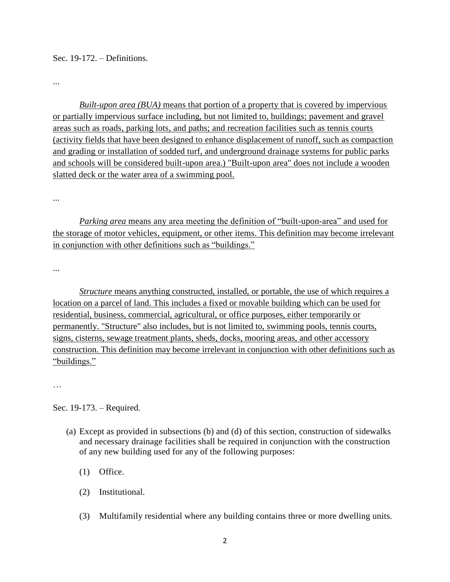Sec. 19-172. – Definitions.

...

*Built-upon area (BUA)* means that portion of a property that is covered by impervious or partially impervious surface including, but not limited to, buildings; pavement and gravel areas such as roads, parking lots, and paths; and recreation facilities such as tennis courts (activity fields that have been designed to enhance displacement of runoff, such as compaction and grading or installation of sodded turf, and underground drainage systems for public parks and schools will be considered built-upon area.) "Built-upon area" does not include a wooden slatted deck or the water area of a swimming pool.

...

*Parking area* means any area meeting the definition of "built-upon-area" and used for the storage of motor vehicles, equipment, or other items. This definition may become irrelevant in conjunction with other definitions such as "buildings."

...

*<u>Structure*</u> means anything constructed, installed, or portable, the use of which requires a location on a parcel of land. This includes a fixed or movable building which can be used for residential, business, commercial, agricultural, or office purposes, either temporarily or permanently. "Structure" also includes, but is not limited to, swimming pools, tennis courts, signs, cisterns, sewage treatment plants, sheds, docks, mooring areas, and other accessory construction. This definition may become irrelevant in conjunction with other definitions such as "buildings."

…

Sec. 19-173. – Required.

- (a) Except as provided in subsections (b) and (d) of this section, construction of sidewalks and necessary drainage facilities shall be required in conjunction with the construction of any new building used for any of the following purposes:
	- (1) Office.
	- (2) Institutional.
	- (3) Multifamily residential where any building contains three or more dwelling units.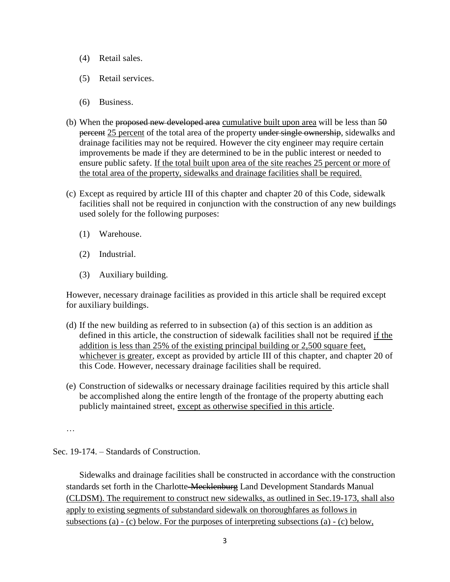- (4) Retail sales.
- (5) Retail services.
- (6) Business.
- (b) When the proposed new developed area cumulative built upon area will be less than  $50$ percent 25 percent of the total area of the property under single ownership, sidewalks and drainage facilities may not be required. However the city engineer may require certain improvements be made if they are determined to be in the public interest or needed to ensure public safety. If the total built upon area of the site reaches 25 percent or more of the total area of the property, sidewalks and drainage facilities shall be required.
- (c) Except as required by article III of this chapter and chapter 20 of this Code, sidewalk facilities shall not be required in conjunction with the construction of any new buildings used solely for the following purposes:
	- (1) Warehouse.
	- (2) Industrial.
	- (3) Auxiliary building.

However, necessary drainage facilities as provided in this article shall be required except for auxiliary buildings.

- (d) If the new building as referred to in subsection (a) of this section is an addition as defined in this article, the construction of sidewalk facilities shall not be required if the addition is less than 25% of the existing principal building or 2,500 square feet, whichever is greater, except as provided by article III of this chapter, and chapter 20 of this Code. However, necessary drainage facilities shall be required.
- (e) Construction of sidewalks or necessary drainage facilities required by this article shall be accomplished along the entire length of the frontage of the property abutting each publicly maintained street, except as otherwise specified in this article.

…

Sec. 19-174. – Standards of Construction.

Sidewalks and drainage facilities shall be constructed in accordance with the construction standards set forth in the Charlotte-Mecklenburg Land Development Standards Manual (CLDSM). The requirement to construct new sidewalks, as outlined in Sec.19-173, shall also apply to existing segments of substandard sidewalk on thoroughfares as follows in subsections (a) - (c) below. For the purposes of interpreting subsections (a) - (c) below,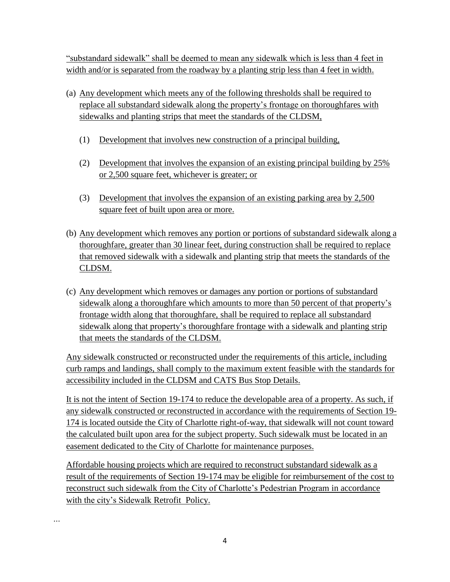"substandard sidewalk" shall be deemed to mean any sidewalk which is less than 4 feet in width and/or is separated from the roadway by a planting strip less than 4 feet in width.

- (a) Any development which meets any of the following thresholds shall be required to replace all substandard sidewalk along the property's frontage on thoroughfares with sidewalks and planting strips that meet the standards of the CLDSM,
	- (1) Development that involves new construction of a principal building,
	- (2) Development that involves the expansion of an existing principal building by 25% or 2,500 square feet, whichever is greater; or
	- (3) Development that involves the expansion of an existing parking area by 2,500 square feet of built upon area or more.
- (b) Any development which removes any portion or portions of substandard sidewalk along a thoroughfare, greater than 30 linear feet, during construction shall be required to replace that removed sidewalk with a sidewalk and planting strip that meets the standards of the CLDSM.
- (c) Any development which removes or damages any portion or portions of substandard sidewalk along a thoroughfare which amounts to more than 50 percent of that property's frontage width along that thoroughfare, shall be required to replace all substandard sidewalk along that property's thoroughfare frontage with a sidewalk and planting strip that meets the standards of the CLDSM.

Any sidewalk constructed or reconstructed under the requirements of this article, including curb ramps and landings, shall comply to the maximum extent feasible with the standards for accessibility included in the CLDSM and CATS Bus Stop Details.

It is not the intent of Section 19-174 to reduce the developable area of a property. As such, if any sidewalk constructed or reconstructed in accordance with the requirements of Section 19- 174 is located outside the City of Charlotte right-of-way, that sidewalk will not count toward the calculated built upon area for the subject property. Such sidewalk must be located in an easement dedicated to the City of Charlotte for maintenance purposes.

Affordable housing projects which are required to reconstruct substandard sidewalk as a result of the requirements of Section 19-174 may be eligible for reimbursement of the cost to reconstruct such sidewalk from the City of Charlotte's Pedestrian Program in accordance with the city's Sidewalk Retrofit Policy.

*…*